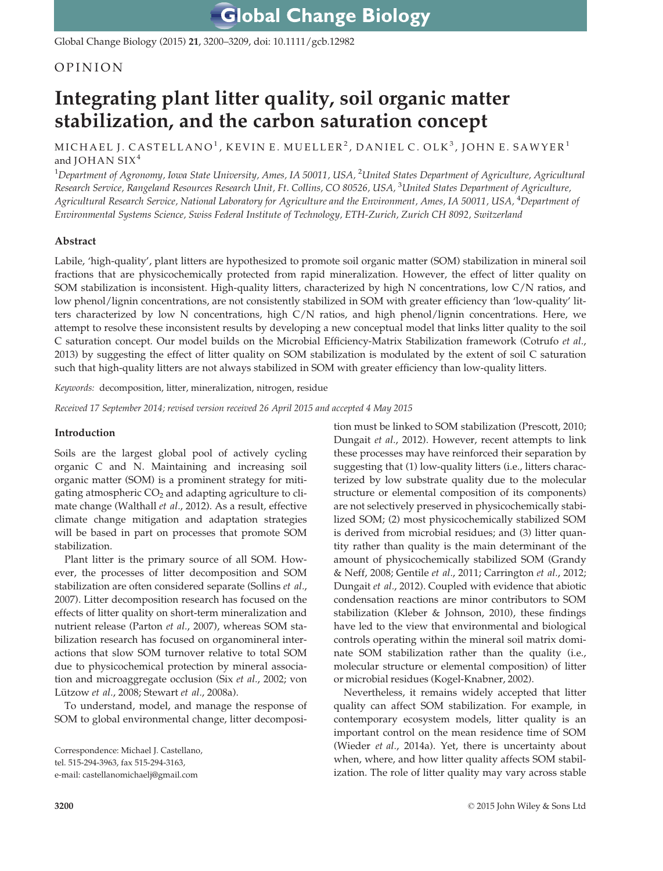Global Change Biology (2015) 21, 3200–3209, doi: 10.1111/gcb.12982

## OPINION

# Integrating plant litter quality, soil organic matter stabilization, and the carbon saturation concept

MICHAEL J. CASTELLANO<sup>1</sup>, KEVIN E. MUELLER<sup>2</sup>, DANIEL C. OLK<sup>3</sup>, JOHN E. SAWYER<sup>1</sup> and JOHAN  $S I X<sup>4</sup>$ 

 $^1$ Department of Agronomy, Iowa State University, Ames, IA 50011, USA,  $^2$ United States Department of Agriculture, Agricultural Research Service, Rangeland Resources Research Unit, Ft. Collins, CO 80526, USA, <sup>3</sup>United States Department of Agriculture, Agricultural Research Service, National Laboratory for Agriculture and the Environment, Ames, IA 50011, USA, <sup>4</sup>Department of Environmental Systems Science, Swiss Federal Institute of Technology, ETH-Zurich, Zurich CH 8092, Switzerland

## Abstract

Labile, 'high-quality', plant litters are hypothesized to promote soil organic matter (SOM) stabilization in mineral soil fractions that are physicochemically protected from rapid mineralization. However, the effect of litter quality on SOM stabilization is inconsistent. High-quality litters, characterized by high N concentrations, low C/N ratios, and low phenol/lignin concentrations, are not consistently stabilized in SOM with greater efficiency than 'low-quality' litters characterized by low N concentrations, high C/N ratios, and high phenol/lignin concentrations. Here, we attempt to resolve these inconsistent results by developing a new conceptual model that links litter quality to the soil C saturation concept. Our model builds on the Microbial Efficiency-Matrix Stabilization framework (Cotrufo et al., 2013) by suggesting the effect of litter quality on SOM stabilization is modulated by the extent of soil C saturation such that high-quality litters are not always stabilized in SOM with greater efficiency than low-quality litters.

Keywords: decomposition, litter, mineralization, nitrogen, residue

Received 17 September 2014; revised version received 26 April 2015 and accepted 4 May 2015

## Introduction

Soils are the largest global pool of actively cycling organic C and N. Maintaining and increasing soil organic matter (SOM) is a prominent strategy for mitigating atmospheric  $CO<sub>2</sub>$  and adapting agriculture to climate change (Walthall et al., 2012). As a result, effective climate change mitigation and adaptation strategies will be based in part on processes that promote SOM stabilization.

Plant litter is the primary source of all SOM. However, the processes of litter decomposition and SOM stabilization are often considered separate (Sollins et al., 2007). Litter decomposition research has focused on the effects of litter quality on short-term mineralization and nutrient release (Parton et al., 2007), whereas SOM stabilization research has focused on organomineral interactions that slow SOM turnover relative to total SOM due to physicochemical protection by mineral association and microaggregate occlusion (Six et al., 2002; von Lützow et al., 2008; Stewart et al., 2008a).

To understand, model, and manage the response of SOM to global environmental change, litter decomposi-

Correspondence: Michael J. Castellano, tel. 515-294-3963, fax 515-294-3163, e-mail: castellanomichaelj@gmail.com

tion must be linked to SOM stabilization (Prescott, 2010; Dungait et al., 2012). However, recent attempts to link these processes may have reinforced their separation by suggesting that (1) low-quality litters (i.e., litters characterized by low substrate quality due to the molecular structure or elemental composition of its components) are not selectively preserved in physicochemically stabilized SOM; (2) most physicochemically stabilized SOM is derived from microbial residues; and (3) litter quantity rather than quality is the main determinant of the amount of physicochemically stabilized SOM (Grandy & Neff, 2008; Gentile et al., 2011; Carrington et al., 2012; Dungait et al., 2012). Coupled with evidence that abiotic condensation reactions are minor contributors to SOM stabilization (Kleber & Johnson, 2010), these findings have led to the view that environmental and biological controls operating within the mineral soil matrix dominate SOM stabilization rather than the quality (i.e., molecular structure or elemental composition) of litter or microbial residues (Kogel-Knabner, 2002).

Nevertheless, it remains widely accepted that litter quality can affect SOM stabilization. For example, in contemporary ecosystem models, litter quality is an important control on the mean residence time of SOM (Wieder et al., 2014a). Yet, there is uncertainty about when, where, and how litter quality affects SOM stabilization. The role of litter quality may vary across stable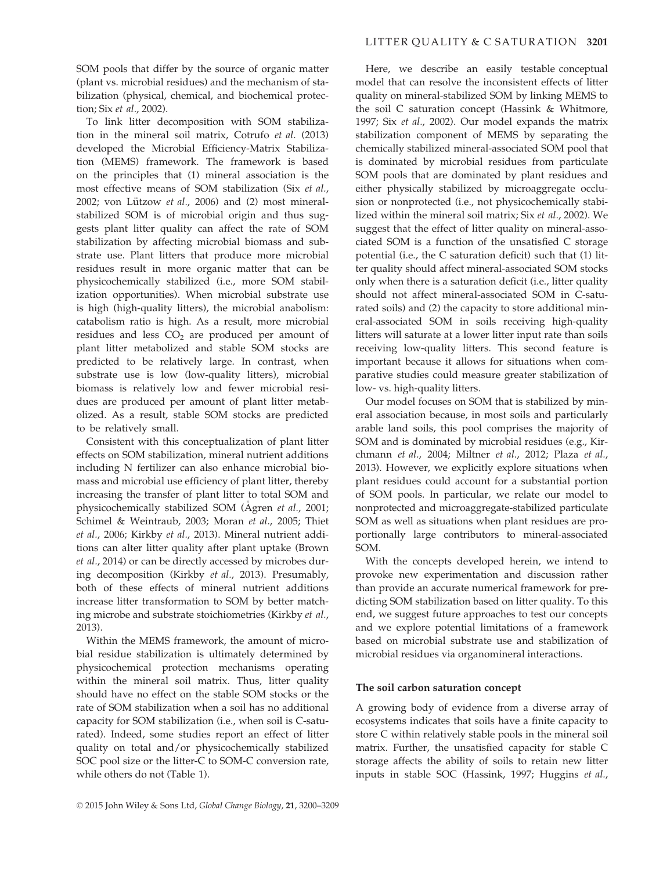SOM pools that differ by the source of organic matter (plant vs. microbial residues) and the mechanism of stabilization (physical, chemical, and biochemical protection; Six et al., 2002).

To link litter decomposition with SOM stabilization in the mineral soil matrix, Cotrufo et al. (2013) developed the Microbial Efficiency-Matrix Stabilization (MEMS) framework. The framework is based on the principles that (1) mineral association is the most effective means of SOM stabilization (Six et al., 2002; von Lützow  $et$  al., 2006) and (2) most mineralstabilized SOM is of microbial origin and thus suggests plant litter quality can affect the rate of SOM stabilization by affecting microbial biomass and substrate use. Plant litters that produce more microbial residues result in more organic matter that can be physicochemically stabilized (i.e., more SOM stabilization opportunities). When microbial substrate use is high (high-quality litters), the microbial anabolism: catabolism ratio is high. As a result, more microbial residues and less  $CO<sub>2</sub>$  are produced per amount of plant litter metabolized and stable SOM stocks are predicted to be relatively large. In contrast, when substrate use is low (low-quality litters), microbial biomass is relatively low and fewer microbial residues are produced per amount of plant litter metabolized. As a result, stable SOM stocks are predicted to be relatively small.

Consistent with this conceptualization of plant litter effects on SOM stabilization, mineral nutrient additions including N fertilizer can also enhance microbial biomass and microbial use efficiency of plant litter, thereby increasing the transfer of plant litter to total SOM and physicochemically stabilized SOM (Ågren et al., 2001; Schimel & Weintraub, 2003; Moran et al., 2005; Thiet et al., 2006; Kirkby et al., 2013). Mineral nutrient additions can alter litter quality after plant uptake (Brown et al., 2014) or can be directly accessed by microbes during decomposition (Kirkby et al., 2013). Presumably, both of these effects of mineral nutrient additions increase litter transformation to SOM by better matching microbe and substrate stoichiometries (Kirkby et al., 2013).

Within the MEMS framework, the amount of microbial residue stabilization is ultimately determined by physicochemical protection mechanisms operating within the mineral soil matrix. Thus, litter quality should have no effect on the stable SOM stocks or the rate of SOM stabilization when a soil has no additional capacity for SOM stabilization (i.e., when soil is C-saturated). Indeed, some studies report an effect of litter quality on total and/or physicochemically stabilized SOC pool size or the litter-C to SOM-C conversion rate, while others do not (Table 1).

Here, we describe an easily testable conceptual model that can resolve the inconsistent effects of litter quality on mineral-stabilized SOM by linking MEMS to the soil C saturation concept (Hassink & Whitmore, 1997; Six et al., 2002). Our model expands the matrix stabilization component of MEMS by separating the chemically stabilized mineral-associated SOM pool that is dominated by microbial residues from particulate SOM pools that are dominated by plant residues and either physically stabilized by microaggregate occlusion or nonprotected (i.e., not physicochemically stabilized within the mineral soil matrix; Six et al., 2002). We suggest that the effect of litter quality on mineral-associated SOM is a function of the unsatisfied C storage potential (i.e., the C saturation deficit) such that (1) litter quality should affect mineral-associated SOM stocks only when there is a saturation deficit (i.e., litter quality should not affect mineral-associated SOM in C-saturated soils) and (2) the capacity to store additional mineral-associated SOM in soils receiving high-quality litters will saturate at a lower litter input rate than soils receiving low-quality litters. This second feature is important because it allows for situations when comparative studies could measure greater stabilization of low- vs. high-quality litters.

Our model focuses on SOM that is stabilized by mineral association because, in most soils and particularly arable land soils, this pool comprises the majority of SOM and is dominated by microbial residues (e.g., Kirchmann et al., 2004; Miltner et al., 2012; Plaza et al., 2013). However, we explicitly explore situations when plant residues could account for a substantial portion of SOM pools. In particular, we relate our model to nonprotected and microaggregate-stabilized particulate SOM as well as situations when plant residues are proportionally large contributors to mineral-associated SOM.

With the concepts developed herein, we intend to provoke new experimentation and discussion rather than provide an accurate numerical framework for predicting SOM stabilization based on litter quality. To this end, we suggest future approaches to test our concepts and we explore potential limitations of a framework based on microbial substrate use and stabilization of microbial residues via organomineral interactions.

## The soil carbon saturation concept

A growing body of evidence from a diverse array of ecosystems indicates that soils have a finite capacity to store C within relatively stable pools in the mineral soil matrix. Further, the unsatisfied capacity for stable C storage affects the ability of soils to retain new litter inputs in stable SOC (Hassink, 1997; Huggins et al.,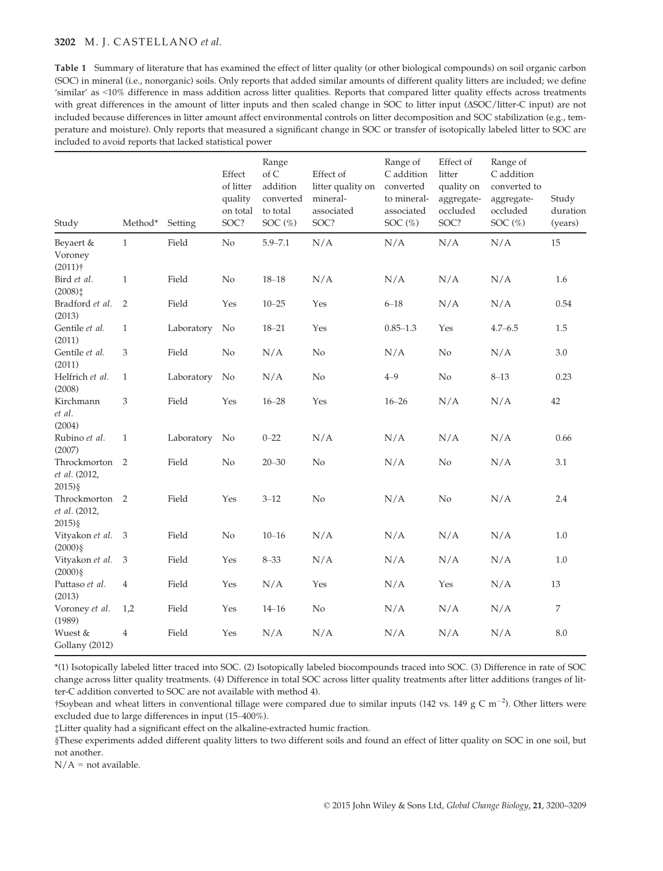## 3202 M. J. CASTELLANO et al.

Table 1 Summary of literature that has examined the effect of litter quality (or other biological compounds) on soil organic carbon (SOC) in mineral (i.e., nonorganic) soils. Only reports that added similar amounts of different quality litters are included; we define 'similar' as <10% difference in mass addition across litter qualities. Reports that compared litter quality effects across treatments with great differences in the amount of litter inputs and then scaled change in SOC to litter input ( $\triangle SOC/$ litter-C input) are not included because differences in litter amount affect environmental controls on litter decomposition and SOC stabilization (e.g., temperature and moisture). Only reports that measured a significant change in SOC or transfer of isotopically labeled litter to SOC are included to avoid reports that lacked statistical power

| Study                                                         | Method*        | Setting    | Effect<br>of litter<br>quality<br>on total<br>SOC? | Range<br>of $C$<br>addition<br>converted<br>to total<br>SOC $(\%)$ | Effect of<br>litter quality on<br>mineral-<br>associated<br>SOC? | Range of<br>C addition<br>converted<br>to mineral-<br>associated<br>SOC $(\%)$ | Effect of<br>litter<br>quality on<br>aggregate-<br>occluded<br>SOC? | Range of<br>C addition<br>converted to<br>aggregate-<br>occluded<br>SOC $(\%)$ | Study<br>duration<br>(years) |
|---------------------------------------------------------------|----------------|------------|----------------------------------------------------|--------------------------------------------------------------------|------------------------------------------------------------------|--------------------------------------------------------------------------------|---------------------------------------------------------------------|--------------------------------------------------------------------------------|------------------------------|
| Beyaert &<br>Voroney                                          | $\mathbf{1}$   | Field      | No                                                 | $5.9 - 7.1$                                                        | N/A                                                              | N/A                                                                            | N/A                                                                 | N/A                                                                            | 15                           |
| $(2011)$ <sup>+</sup><br>Bird et al.<br>$(2008)$ <sup>+</sup> | $\mathbf{1}$   | Field      | N <sub>o</sub>                                     | $18 - 18$                                                          | N/A                                                              | N/A                                                                            | N/A                                                                 | N/A                                                                            | 1.6                          |
| Bradford et al.<br>(2013)                                     | $\overline{2}$ | Field      | Yes                                                | $10 - 25$                                                          | Yes                                                              | $6 - 18$                                                                       | N/A                                                                 | N/A                                                                            | 0.54                         |
| Gentile et al.<br>(2011)                                      | $\mathbf{1}$   | Laboratory | No                                                 | $18 - 21$                                                          | Yes                                                              | $0.85 - 1.3$                                                                   | Yes                                                                 | $4.7 - 6.5$                                                                    | 1.5                          |
| Gentile et al.<br>(2011)                                      | 3              | Field      | N <sub>o</sub>                                     | N/A                                                                | N <sub>o</sub>                                                   | N/A                                                                            | No                                                                  | N/A                                                                            | 3.0                          |
| Helfrich et al.<br>(2008)                                     | $\mathbf{1}$   | Laboratory | No                                                 | N/A                                                                | N <sub>o</sub>                                                   | $4 - 9$                                                                        | $\rm No$                                                            | $8 - 13$                                                                       | 0.23                         |
| Kirchmann<br>et al.<br>(2004)                                 | 3              | Field      | Yes                                                | $16 - 28$                                                          | Yes                                                              | $16 - 26$                                                                      | N/A                                                                 | N/A                                                                            | 42                           |
| Rubino et al.<br>(2007)                                       | $\mathbf{1}$   | Laboratory | No                                                 | $0 - 22$                                                           | N/A                                                              | N/A                                                                            | N/A                                                                 | N/A                                                                            | 0.66                         |
| Throckmorton<br>et al. (2012,<br>$2015$ ) §                   | 2              | Field      | No                                                 | $20 - 30$                                                          | N <sub>o</sub>                                                   | N/A                                                                            | $\rm No$                                                            | N/A                                                                            | 3.1                          |
| Throckmorton 2<br>et al. (2012,<br>$2015$ ) §                 |                | Field      | Yes                                                | $3 - 12$                                                           | $\rm No$                                                         | N/A                                                                            | No                                                                  | N/A                                                                            | 2.4                          |
| Vityakon et al. 3<br>$(2000)\$                                |                | Field      | No                                                 | $10 - 16$                                                          | N/A                                                              | N/A                                                                            | N/A                                                                 | N/A                                                                            | 1.0                          |
| Vityakon et al.<br>$(2000)\$                                  | $\mathfrak{Z}$ | Field      | Yes                                                | $8 - 33$                                                           | N/A                                                              | N/A                                                                            | N/A                                                                 | N/A                                                                            | $1.0\,$                      |
| Puttaso et al.<br>(2013)                                      | $\overline{4}$ | Field      | Yes                                                | N/A                                                                | Yes                                                              | N/A                                                                            | Yes                                                                 | N/A                                                                            | 13                           |
| Voroney et al.<br>(1989)                                      | 1,2            | Field      | Yes                                                | $14 - 16$                                                          | N <sub>o</sub>                                                   | N/A                                                                            | N/A                                                                 | N/A                                                                            | $\boldsymbol{7}$             |
| Wuest &<br>Gollany (2012)                                     | $\overline{4}$ | Field      | Yes                                                | N/A                                                                | N/A                                                              | N/A                                                                            | N/A                                                                 | N/A                                                                            | 8.0                          |

\*(1) Isotopically labeled litter traced into SOC. (2) Isotopically labeled biocompounds traced into SOC. (3) Difference in rate of SOC change across litter quality treatments. (4) Difference in total SOC across litter quality treatments after litter additions (ranges of litter-C addition converted to SOC are not available with method 4).

†Soybean and wheat litters in conventional tillage were compared due to similar inputs (142 vs. 149 g C m<sup>-2</sup>). Other litters were excluded due to large differences in input (15–400%).

‡Litter quality had a significant effect on the alkaline-extracted humic fraction.

§These experiments added different quality litters to two different soils and found an effect of litter quality on SOC in one soil, but not another.

 $N/A$  = not available.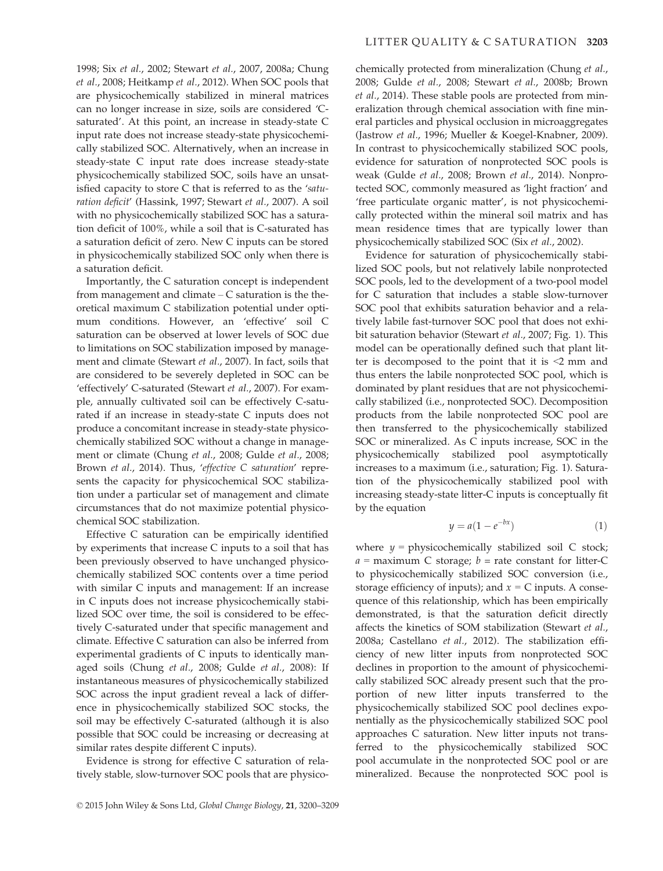1998; Six et al., 2002; Stewart et al., 2007, 2008a; Chung et al., 2008; Heitkamp et al., 2012). When SOC pools that are physicochemically stabilized in mineral matrices can no longer increase in size, soils are considered 'Csaturated'. At this point, an increase in steady-state C input rate does not increase steady-state physicochemically stabilized SOC. Alternatively, when an increase in steady-state C input rate does increase steady-state physicochemically stabilized SOC, soils have an unsatisfied capacity to store C that is referred to as the 'saturation deficit' (Hassink, 1997; Stewart et al., 2007). A soil with no physicochemically stabilized SOC has a saturation deficit of 100%, while a soil that is C-saturated has a saturation deficit of zero. New C inputs can be stored in physicochemically stabilized SOC only when there is

a saturation deficit. Importantly, the C saturation concept is independent from management and climate  $-$  C saturation is the theoretical maximum C stabilization potential under optimum conditions. However, an 'effective' soil C saturation can be observed at lower levels of SOC due to limitations on SOC stabilization imposed by management and climate (Stewart et al., 2007). In fact, soils that are considered to be severely depleted in SOC can be 'effectively' C-saturated (Stewart et al., 2007). For example, annually cultivated soil can be effectively C-saturated if an increase in steady-state C inputs does not produce a concomitant increase in steady-state physicochemically stabilized SOC without a change in management or climate (Chung et al., 2008; Gulde et al., 2008; Brown et al., 2014). Thus, 'effective C saturation' represents the capacity for physicochemical SOC stabilization under a particular set of management and climate circumstances that do not maximize potential physicochemical SOC stabilization.

Effective C saturation can be empirically identified by experiments that increase C inputs to a soil that has been previously observed to have unchanged physicochemically stabilized SOC contents over a time period with similar C inputs and management: If an increase in C inputs does not increase physicochemically stabilized SOC over time, the soil is considered to be effectively C-saturated under that specific management and climate. Effective C saturation can also be inferred from experimental gradients of C inputs to identically managed soils (Chung et al., 2008; Gulde et al., 2008): If instantaneous measures of physicochemically stabilized SOC across the input gradient reveal a lack of difference in physicochemically stabilized SOC stocks, the soil may be effectively C-saturated (although it is also possible that SOC could be increasing or decreasing at similar rates despite different C inputs).

Evidence is strong for effective C saturation of relatively stable, slow-turnover SOC pools that are physicochemically protected from mineralization (Chung et al., 2008; Gulde et al., 2008; Stewart et al., 2008b; Brown et al., 2014). These stable pools are protected from mineralization through chemical association with fine mineral particles and physical occlusion in microaggregates (Jastrow et al., 1996; Mueller & Koegel-Knabner, 2009). In contrast to physicochemically stabilized SOC pools, evidence for saturation of nonprotected SOC pools is weak (Gulde et al., 2008; Brown et al., 2014). Nonprotected SOC, commonly measured as 'light fraction' and 'free particulate organic matter', is not physicochemically protected within the mineral soil matrix and has mean residence times that are typically lower than physicochemically stabilized SOC (Six et al., 2002).

Evidence for saturation of physicochemically stabilized SOC pools, but not relatively labile nonprotected SOC pools, led to the development of a two-pool model for C saturation that includes a stable slow-turnover SOC pool that exhibits saturation behavior and a relatively labile fast-turnover SOC pool that does not exhibit saturation behavior (Stewart et al., 2007; Fig. 1). This model can be operationally defined such that plant litter is decomposed to the point that it is <2 mm and thus enters the labile nonprotected SOC pool, which is dominated by plant residues that are not physicochemically stabilized (i.e., nonprotected SOC). Decomposition products from the labile nonprotected SOC pool are then transferred to the physicochemically stabilized SOC or mineralized. As C inputs increase, SOC in the physicochemically stabilized pool asymptotically increases to a maximum (i.e., saturation; Fig. 1). Saturation of the physicochemically stabilized pool with increasing steady-state litter-C inputs is conceptually fit by the equation

$$
y = a(1 - e^{-bx})\tag{1}
$$

where  $y =$  physicochemically stabilized soil C stock;  $a =$  maximum C storage;  $b =$  rate constant for litter-C to physicochemically stabilized SOC conversion (i.e., storage efficiency of inputs); and  $x = C$  inputs. A consequence of this relationship, which has been empirically demonstrated, is that the saturation deficit directly affects the kinetics of SOM stabilization (Stewart et al., 2008a; Castellano et al., 2012). The stabilization efficiency of new litter inputs from nonprotected SOC declines in proportion to the amount of physicochemically stabilized SOC already present such that the proportion of new litter inputs transferred to the physicochemically stabilized SOC pool declines exponentially as the physicochemically stabilized SOC pool approaches C saturation. New litter inputs not transferred to the physicochemically stabilized SOC pool accumulate in the nonprotected SOC pool or are mineralized. Because the nonprotected SOC pool is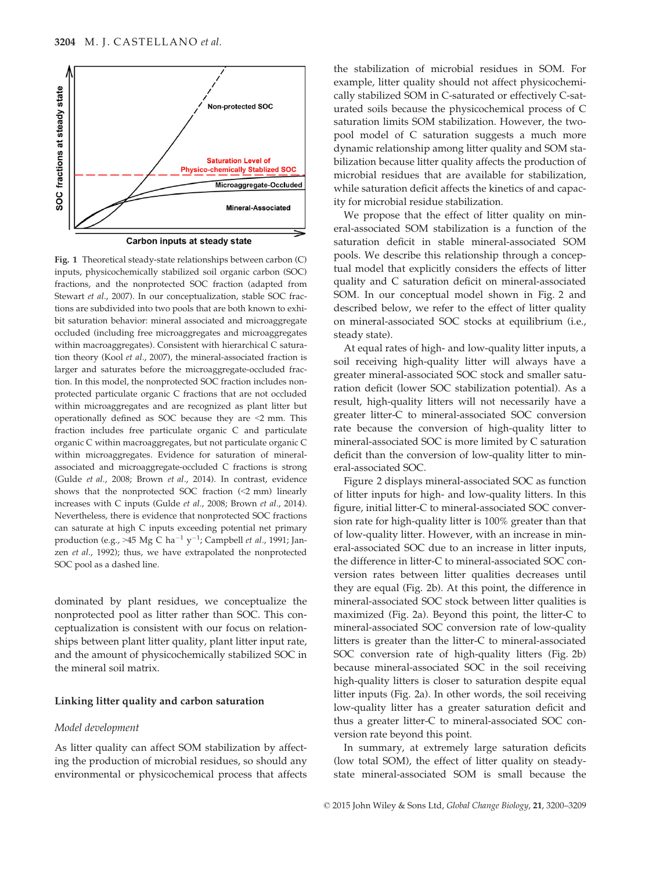

Carbon inputs at steady state

Fig. 1 Theoretical steady-state relationships between carbon (C) inputs, physicochemically stabilized soil organic carbon (SOC) fractions, and the nonprotected SOC fraction (adapted from Stewart et al., 2007). In our conceptualization, stable SOC fractions are subdivided into two pools that are both known to exhibit saturation behavior: mineral associated and microaggregate occluded (including free microaggregates and microaggregates within macroaggregates). Consistent with hierarchical C saturation theory (Kool et al., 2007), the mineral-associated fraction is larger and saturates before the microaggregate-occluded fraction. In this model, the nonprotected SOC fraction includes nonprotected particulate organic C fractions that are not occluded within microaggregates and are recognized as plant litter but operationally defined as SOC because they are <2 mm. This fraction includes free particulate organic C and particulate organic C within macroaggregates, but not particulate organic C within microaggregates. Evidence for saturation of mineralassociated and microaggregate-occluded C fractions is strong (Gulde et al., 2008; Brown et al., 2014). In contrast, evidence shows that the nonprotected SOC fraction (<2 mm) linearly increases with C inputs (Gulde et al., 2008; Brown et al., 2014). Nevertheless, there is evidence that nonprotected SOC fractions can saturate at high C inputs exceeding potential net primary production (e.g., >45 Mg C ha<sup>-1</sup> y<sup>-1</sup>; Campbell *et al.*, 1991; Janzen et al., 1992); thus, we have extrapolated the nonprotected SOC pool as a dashed line.

dominated by plant residues, we conceptualize the nonprotected pool as litter rather than SOC. This conceptualization is consistent with our focus on relationships between plant litter quality, plant litter input rate, and the amount of physicochemically stabilized SOC in the mineral soil matrix.

## Linking litter quality and carbon saturation

#### Model development

As litter quality can affect SOM stabilization by affecting the production of microbial residues, so should any environmental or physicochemical process that affects the stabilization of microbial residues in SOM. For example, litter quality should not affect physicochemically stabilized SOM in C-saturated or effectively C-saturated soils because the physicochemical process of C saturation limits SOM stabilization. However, the twopool model of C saturation suggests a much more dynamic relationship among litter quality and SOM stabilization because litter quality affects the production of microbial residues that are available for stabilization, while saturation deficit affects the kinetics of and capacity for microbial residue stabilization.

We propose that the effect of litter quality on mineral-associated SOM stabilization is a function of the saturation deficit in stable mineral-associated SOM pools. We describe this relationship through a conceptual model that explicitly considers the effects of litter quality and C saturation deficit on mineral-associated SOM. In our conceptual model shown in Fig. 2 and described below, we refer to the effect of litter quality on mineral-associated SOC stocks at equilibrium (i.e., steady state).

At equal rates of high- and low-quality litter inputs, a soil receiving high-quality litter will always have a greater mineral-associated SOC stock and smaller saturation deficit (lower SOC stabilization potential). As a result, high-quality litters will not necessarily have a greater litter-C to mineral-associated SOC conversion rate because the conversion of high-quality litter to mineral-associated SOC is more limited by C saturation deficit than the conversion of low-quality litter to mineral-associated SOC.

Figure 2 displays mineral-associated SOC as function of litter inputs for high- and low-quality litters. In this figure, initial litter-C to mineral-associated SOC conversion rate for high-quality litter is 100% greater than that of low-quality litter. However, with an increase in mineral-associated SOC due to an increase in litter inputs, the difference in litter-C to mineral-associated SOC conversion rates between litter qualities decreases until they are equal (Fig. 2b). At this point, the difference in mineral-associated SOC stock between litter qualities is maximized (Fig. 2a). Beyond this point, the litter-C to mineral-associated SOC conversion rate of low-quality litters is greater than the litter-C to mineral-associated SOC conversion rate of high-quality litters (Fig. 2b) because mineral-associated SOC in the soil receiving high-quality litters is closer to saturation despite equal litter inputs (Fig. 2a). In other words, the soil receiving low-quality litter has a greater saturation deficit and thus a greater litter-C to mineral-associated SOC conversion rate beyond this point.

In summary, at extremely large saturation deficits (low total SOM), the effect of litter quality on steadystate mineral-associated SOM is small because the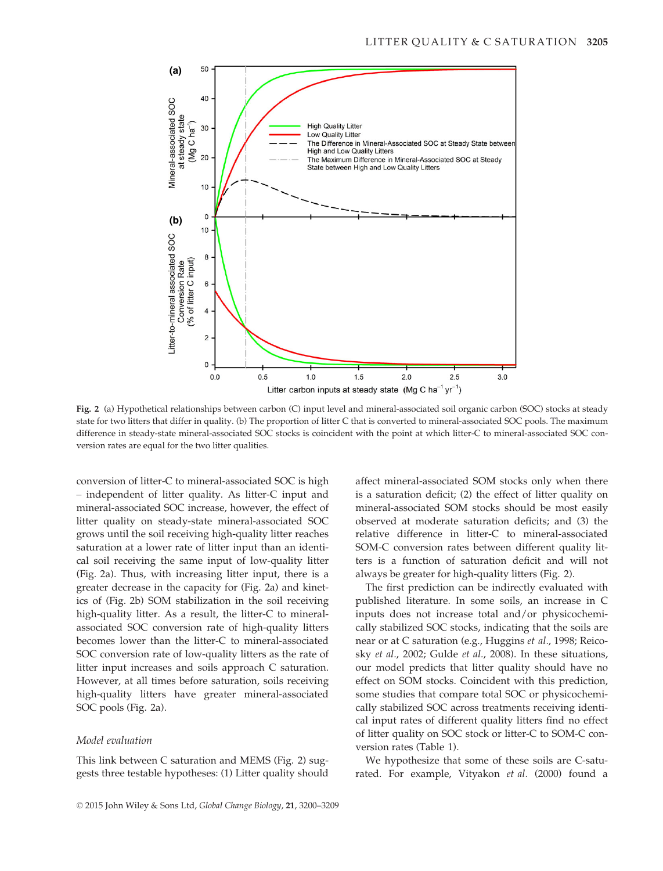

Fig. 2 (a) Hypothetical relationships between carbon (C) input level and mineral-associated soil organic carbon (SOC) stocks at steady state for two litters that differ in quality. (b) The proportion of litter C that is converted to mineral-associated SOC pools. The maximum difference in steady-state mineral-associated SOC stocks is coincident with the point at which litter-C to mineral-associated SOC conversion rates are equal for the two litter qualities.

conversion of litter-C to mineral-associated SOC is high – independent of litter quality. As litter-C input and mineral-associated SOC increase, however, the effect of litter quality on steady-state mineral-associated SOC grows until the soil receiving high-quality litter reaches saturation at a lower rate of litter input than an identical soil receiving the same input of low-quality litter (Fig. 2a). Thus, with increasing litter input, there is a greater decrease in the capacity for (Fig. 2a) and kinetics of (Fig. 2b) SOM stabilization in the soil receiving high-quality litter. As a result, the litter-C to mineralassociated SOC conversion rate of high-quality litters becomes lower than the litter-C to mineral-associated SOC conversion rate of low-quality litters as the rate of litter input increases and soils approach C saturation. However, at all times before saturation, soils receiving high-quality litters have greater mineral-associated SOC pools (Fig. 2a).

## Model evaluation

This link between C saturation and MEMS (Fig. 2) suggests three testable hypotheses: (1) Litter quality should affect mineral-associated SOM stocks only when there is a saturation deficit; (2) the effect of litter quality on mineral-associated SOM stocks should be most easily observed at moderate saturation deficits; and (3) the relative difference in litter-C to mineral-associated SOM-C conversion rates between different quality litters is a function of saturation deficit and will not always be greater for high-quality litters (Fig. 2).

The first prediction can be indirectly evaluated with published literature. In some soils, an increase in C inputs does not increase total and/or physicochemically stabilized SOC stocks, indicating that the soils are near or at C saturation (e.g., Huggins et al., 1998; Reicosky et al., 2002; Gulde et al., 2008). In these situations, our model predicts that litter quality should have no effect on SOM stocks. Coincident with this prediction, some studies that compare total SOC or physicochemically stabilized SOC across treatments receiving identical input rates of different quality litters find no effect of litter quality on SOC stock or litter-C to SOM-C conversion rates (Table 1).

We hypothesize that some of these soils are C-saturated. For example, Vityakon et al. (2000) found a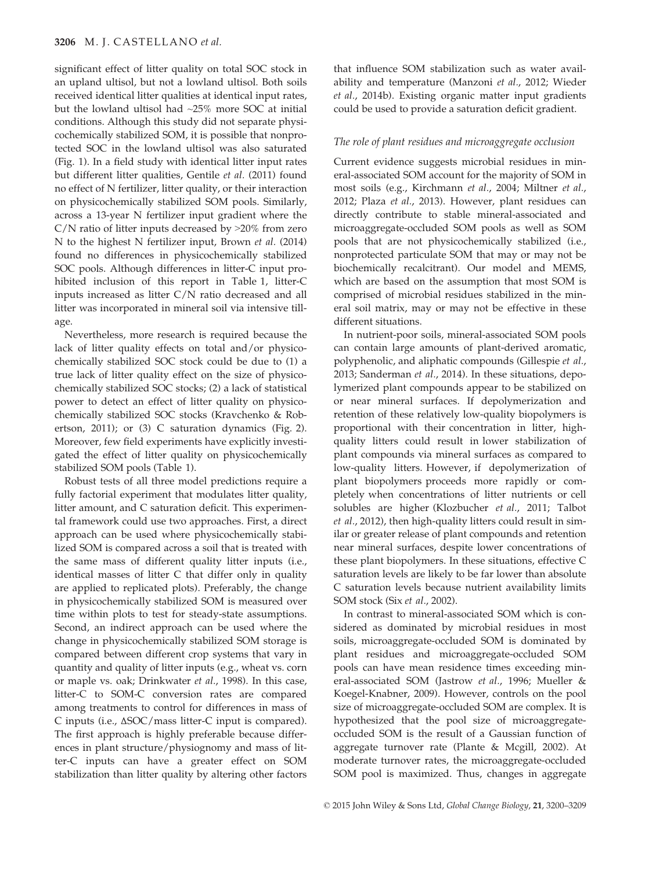significant effect of litter quality on total SOC stock in an upland ultisol, but not a lowland ultisol. Both soils received identical litter qualities at identical input rates, but the lowland ultisol had ~25% more SOC at initial conditions. Although this study did not separate physicochemically stabilized SOM, it is possible that nonprotected SOC in the lowland ultisol was also saturated (Fig. 1). In a field study with identical litter input rates but different litter qualities, Gentile et al. (2011) found no effect of N fertilizer, litter quality, or their interaction on physicochemically stabilized SOM pools. Similarly, across a 13-year N fertilizer input gradient where the  $C/N$  ratio of litter inputs decreased by  $>20\%$  from zero N to the highest N fertilizer input, Brown et al. (2014) found no differences in physicochemically stabilized SOC pools. Although differences in litter-C input prohibited inclusion of this report in Table 1, litter-C inputs increased as litter C/N ratio decreased and all litter was incorporated in mineral soil via intensive tillage.

Nevertheless, more research is required because the lack of litter quality effects on total and/or physicochemically stabilized SOC stock could be due to (1) a true lack of litter quality effect on the size of physicochemically stabilized SOC stocks; (2) a lack of statistical power to detect an effect of litter quality on physicochemically stabilized SOC stocks (Kravchenko & Robertson, 2011); or (3) C saturation dynamics (Fig. 2). Moreover, few field experiments have explicitly investigated the effect of litter quality on physicochemically stabilized SOM pools (Table 1).

Robust tests of all three model predictions require a fully factorial experiment that modulates litter quality, litter amount, and C saturation deficit. This experimental framework could use two approaches. First, a direct approach can be used where physicochemically stabilized SOM is compared across a soil that is treated with the same mass of different quality litter inputs (i.e., identical masses of litter C that differ only in quality are applied to replicated plots). Preferably, the change in physicochemically stabilized SOM is measured over time within plots to test for steady-state assumptions. Second, an indirect approach can be used where the change in physicochemically stabilized SOM storage is compared between different crop systems that vary in quantity and quality of litter inputs (e.g., wheat vs. corn or maple vs. oak; Drinkwater et al., 1998). In this case, litter-C to SOM-C conversion rates are compared among treatments to control for differences in mass of C inputs (i.e., ΔSOC/mass litter-C input is compared). The first approach is highly preferable because differences in plant structure/physiognomy and mass of litter-C inputs can have a greater effect on SOM stabilization than litter quality by altering other factors

that influence SOM stabilization such as water availability and temperature (Manzoni et al., 2012; Wieder et al., 2014b). Existing organic matter input gradients could be used to provide a saturation deficit gradient.

## The role of plant residues and microaggregate occlusion

Current evidence suggests microbial residues in mineral-associated SOM account for the majority of SOM in most soils (e.g., Kirchmann et al., 2004; Miltner et al., 2012; Plaza et al., 2013). However, plant residues can directly contribute to stable mineral-associated and microaggregate-occluded SOM pools as well as SOM pools that are not physicochemically stabilized (i.e., nonprotected particulate SOM that may or may not be biochemically recalcitrant). Our model and MEMS, which are based on the assumption that most SOM is comprised of microbial residues stabilized in the mineral soil matrix, may or may not be effective in these different situations.

In nutrient-poor soils, mineral-associated SOM pools can contain large amounts of plant-derived aromatic, polyphenolic, and aliphatic compounds (Gillespie et al., 2013; Sanderman et al., 2014). In these situations, depolymerized plant compounds appear to be stabilized on or near mineral surfaces. If depolymerization and retention of these relatively low-quality biopolymers is proportional with their concentration in litter, highquality litters could result in lower stabilization of plant compounds via mineral surfaces as compared to low-quality litters. However, if depolymerization of plant biopolymers proceeds more rapidly or completely when concentrations of litter nutrients or cell solubles are higher (Klozbucher et al., 2011; Talbot et al., 2012), then high-quality litters could result in similar or greater release of plant compounds and retention near mineral surfaces, despite lower concentrations of these plant biopolymers. In these situations, effective C saturation levels are likely to be far lower than absolute C saturation levels because nutrient availability limits SOM stock (Six et al., 2002).

In contrast to mineral-associated SOM which is considered as dominated by microbial residues in most soils, microaggregate-occluded SOM is dominated by plant residues and microaggregate-occluded SOM pools can have mean residence times exceeding mineral-associated SOM (Jastrow et al., 1996; Mueller & Koegel-Knabner, 2009). However, controls on the pool size of microaggregate-occluded SOM are complex. It is hypothesized that the pool size of microaggregateoccluded SOM is the result of a Gaussian function of aggregate turnover rate (Plante & Mcgill, 2002). At moderate turnover rates, the microaggregate-occluded SOM pool is maximized. Thus, changes in aggregate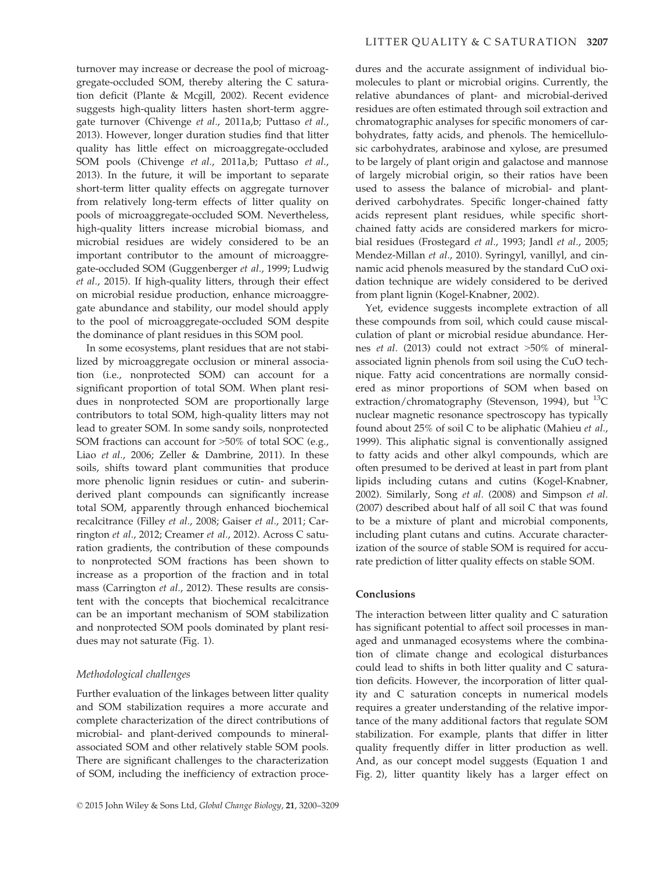turnover may increase or decrease the pool of microaggregate-occluded SOM, thereby altering the C saturation deficit (Plante & Mcgill, 2002). Recent evidence suggests high-quality litters hasten short-term aggregate turnover (Chivenge et al., 2011a,b; Puttaso et al., 2013). However, longer duration studies find that litter quality has little effect on microaggregate-occluded SOM pools (Chivenge et al., 2011a,b; Puttaso et al., 2013). In the future, it will be important to separate short-term litter quality effects on aggregate turnover from relatively long-term effects of litter quality on pools of microaggregate-occluded SOM. Nevertheless, high-quality litters increase microbial biomass, and microbial residues are widely considered to be an important contributor to the amount of microaggregate-occluded SOM (Guggenberger et al., 1999; Ludwig et al., 2015). If high-quality litters, through their effect on microbial residue production, enhance microaggregate abundance and stability, our model should apply to the pool of microaggregate-occluded SOM despite the dominance of plant residues in this SOM pool.

In some ecosystems, plant residues that are not stabilized by microaggregate occlusion or mineral association (i.e., nonprotected SOM) can account for a significant proportion of total SOM. When plant residues in nonprotected SOM are proportionally large contributors to total SOM, high-quality litters may not lead to greater SOM. In some sandy soils, nonprotected SOM fractions can account for >50% of total SOC (e.g., Liao et al., 2006; Zeller & Dambrine, 2011). In these soils, shifts toward plant communities that produce more phenolic lignin residues or cutin- and suberinderived plant compounds can significantly increase total SOM, apparently through enhanced biochemical recalcitrance (Filley et al., 2008; Gaiser et al., 2011; Carrington et al., 2012; Creamer et al., 2012). Across C saturation gradients, the contribution of these compounds to nonprotected SOM fractions has been shown to increase as a proportion of the fraction and in total mass (Carrington et al., 2012). These results are consistent with the concepts that biochemical recalcitrance can be an important mechanism of SOM stabilization and nonprotected SOM pools dominated by plant residues may not saturate (Fig. 1).

## Methodological challenges

Further evaluation of the linkages between litter quality and SOM stabilization requires a more accurate and complete characterization of the direct contributions of microbial- and plant-derived compounds to mineralassociated SOM and other relatively stable SOM pools. There are significant challenges to the characterization of SOM, including the inefficiency of extraction procedures and the accurate assignment of individual biomolecules to plant or microbial origins. Currently, the relative abundances of plant- and microbial-derived residues are often estimated through soil extraction and chromatographic analyses for specific monomers of carbohydrates, fatty acids, and phenols. The hemicellulosic carbohydrates, arabinose and xylose, are presumed to be largely of plant origin and galactose and mannose of largely microbial origin, so their ratios have been used to assess the balance of microbial- and plantderived carbohydrates. Specific longer-chained fatty acids represent plant residues, while specific shortchained fatty acids are considered markers for microbial residues (Frostegard et al., 1993; Jandl et al., 2005; Mendez-Millan et al., 2010). Syringyl, vanillyl, and cinnamic acid phenols measured by the standard CuO oxidation technique are widely considered to be derived from plant lignin (Kogel-Knabner, 2002).

Yet, evidence suggests incomplete extraction of all these compounds from soil, which could cause miscalculation of plant or microbial residue abundance. Hernes et al. (2013) could not extract >50% of mineralassociated lignin phenols from soil using the CuO technique. Fatty acid concentrations are normally considered as minor proportions of SOM when based on extraction/chromatography (Stevenson, 1994), but <sup>13</sup>C nuclear magnetic resonance spectroscopy has typically found about 25% of soil C to be aliphatic (Mahieu et al., 1999). This aliphatic signal is conventionally assigned to fatty acids and other alkyl compounds, which are often presumed to be derived at least in part from plant lipids including cutans and cutins (Kogel-Knabner, 2002). Similarly, Song et al. (2008) and Simpson et al. (2007) described about half of all soil C that was found to be a mixture of plant and microbial components, including plant cutans and cutins. Accurate characterization of the source of stable SOM is required for accurate prediction of litter quality effects on stable SOM.

## Conclusions

The interaction between litter quality and C saturation has significant potential to affect soil processes in managed and unmanaged ecosystems where the combination of climate change and ecological disturbances could lead to shifts in both litter quality and C saturation deficits. However, the incorporation of litter quality and C saturation concepts in numerical models requires a greater understanding of the relative importance of the many additional factors that regulate SOM stabilization. For example, plants that differ in litter quality frequently differ in litter production as well. And, as our concept model suggests (Equation 1 and Fig. 2), litter quantity likely has a larger effect on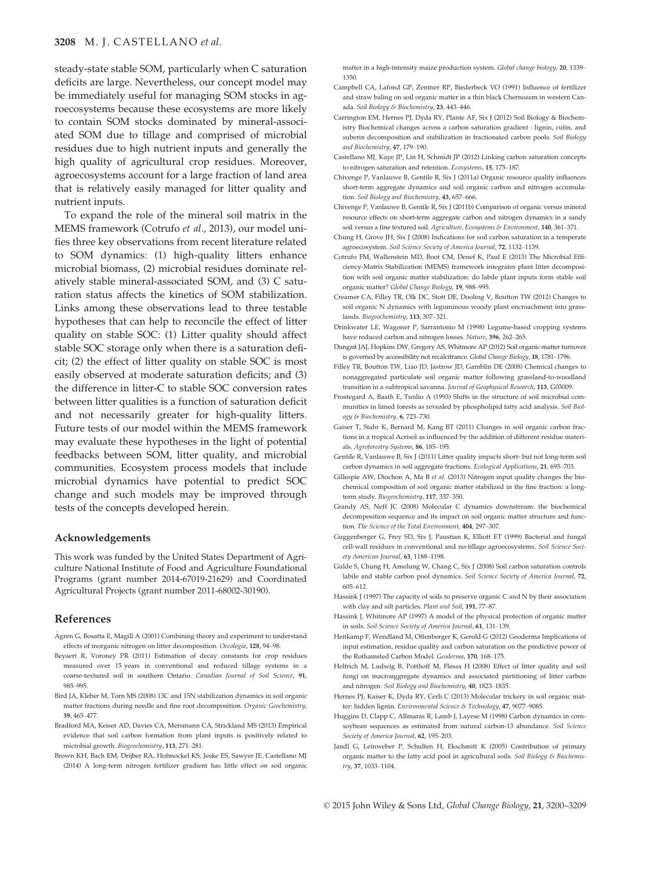#### 3208 M. J. CASTELLANO et al.

steady-state stable SOM, particularly when C saturation deficits are large. Nevertheless, our concept model may be immediately useful for managing SOM stocks in agroecosystems because these ecosystems are more likely to contain SOM stocks dominated by mineral-associated SOM due to tillage and comprised of microbial residues due to high nutrient inputs and generally the high quality of agricultural crop residues. Moreover, agroecosystems account for a large fraction of land area that is relatively easily managed for litter quality and nutrient inputs.

To expand the role of the mineral soil matrix in the MEMS framework (Cotrufo et al., 2013), our model unifies three key observations from recent literature related to SOM dynamics: (1) high-quality litters enhance microbial biomass, (2) microbial residues dominate relatively stable mineral-associated SOM, and (3) C saturation status affects the kinetics of SOM stabilization. Links among these observations lead to three testable hypotheses that can help to reconcile the effect of litter quality on stable SOC: (1) Litter quality should affect stable SOC storage only when there is a saturation deficit; (2) the effect of litter quality on stable SOC is most easily observed at moderate saturation deficits; and (3) the difference in litter-C to stable SOC conversion rates between litter qualities is a function of saturation deficit and not necessarily greater for high-quality litters. Future tests of our model within the MEMS framework may evaluate these hypotheses in the light of potential feedbacks between SOM, litter quality, and microbial communities. Ecosystem process models that include microbial dynamics have potential to predict SOC change and such models may be improved through tests of the concepts developed herein.

#### Acknowledgements

This work was funded by the United States Department of Agriculture National Institute of Food and Agriculture Foundational Programs (grant number 2014-67019-21629) and Coordinated Agricultural Projects (grant number 2011-68002-30190).

## References

- Agren G, Bosatta E, Magill A (2001) Combining theory and experiment to understand effects of inorganic nitrogen on litter decomposition. Oecologia, 128, 94–98.
- Beyaert R, Voroney PR (2011) Estimation of decay constants for crop residues measured over 15 years in conventional and reduced tillage systems in a coarse-textured soil in southern Ontario. Canadian Journal of Soil Science, 91, 985–995.
- Bird JA, Kleber M, Torn MS (2008) 13C and 15N stabilization dynamics in soil organic matter fractions during needle and fine root decomposition. Organic Geochemistry, 39, 465–477.
- Bradford MA, Keiser AD, Davies CA, Mersmann CA, Strickland MS (2013) Empirical evidence that soil carbon formation from plant inputs is positively related to microbial growth. Biogeochemistry, 113, 271–281.
- Brown KH, Bach EM, Drijber RA, Hofmockel KS, Jeske ES, Sawyer JE, Castellano MJ (2014) A long-term nitrogen fertilizer gradient has little effect on soil organic

matter in a high-intensity maize production system. Global change biology, 20, 1339– 1350.

- Campbell CA, Lafond GP, Zentner RP, Biederbeck VO (1991) Influence of fertilizer and straw baling on soil organic matter in a thin black Chernozem in western Canada. Soil Biology & Biochemistry, 23, 443–446.
- Carrington EM, Hernes PJ, Dyda RY, Plante AF, Six J (2012) Soil Biology & Biochemistry Biochemical changes across a carbon saturation gradient : lignin, cutin, and suberin decomposition and stabilization in fractionated carbon pools. Soil Biology and Biochemistry, 47, 179–190.
- Castellano MJ, Kaye JP, Lin H, Schmidt JP (2012) Linking carbon saturation concepts to nitrogen saturation and retention. Ecosystems, 15, 175–187.
- Chivenge P, Vanlauwe B, Gentile R, Six J (2011a) Organic resource quality influences short-term aggregate dynamics and soil organic carbon and nitrogen accumulation. Soil Biology and Biochemistry, 43, 657–666.
- Chivenge P, Vanlauwe B, Gentile R, Six J (2011b) Comparison of organic versus mineral resource effects on short-term aggregate carbon and nitrogen dynamics in a sandy soil versus a fine textured soil. Agriculture, Ecosystems & Environment, 140, 361–371.
- Chung H, Grove JH, Six J (2008) Indications for soil carbon saturation in a temperate agroecosystem. Soil Science Society of America Journal, 72, 1132–1139.
- Cotrufo FM, Wallenstein MD, Boot CM, Denef K, Paul E (2013) The Microbial Efficiency-Matrix Stabilization (MEMS) framework integrates plant litter decomposition with soil organic matter stabilization: do labile plant inputs form stable soil organic matter? Global Change Biology, 19, 988–995.
- Creamer CA, Filley TR, Olk DC, Stott DE, Dooling V, Boutton TW (2012) Changes to soil organic N dynamics with leguminous woody plant encroachment into grasslands. Biogeochemistry, 113, 307–321.
- Drinkwater LE, Wagoner P, Sarrantonio M (1998) Legume-based cropping systems have reduced carbon and nitrogen losses. Nature, 396, 262–265.
- Dungait JAJ, Hopkins DW, Gregory AS, Whitmore AP (2012) Soil organic matter turnover is governed by accessibility not recalcitrance. Global Change Biology, 18, 1781–1796.
- Filley TR, Boutton TW, Liao JD, Jastrow JD, Gamblin DE (2008) Chemical changes to nonaggregated particulate soil organic matter following grassland-to-woodland transition in a subtropical savanna. Journal of Geophysical Research, 113, G03009.
- Frostegard A, Baath E, Tunlio A (1993) Shifts in the structure of soil microbial communities in limed forests as revealed by phospholipid fatty acid analysis. Soil Biology & Biochemistry, 6, 723–730.
- Gaiser T, Stahr K, Bernard M, Kang BT (2011) Changes in soil organic carbon fractions in a tropical Acrisol as influenced by the addition of different residue materials. Agroforestry Systems, 86, 185–195.
- Gentile R, Vanlauwe B, Six J (2011) Litter quality impacts short- but not long-term soil carbon dynamics in soil aggregate fractions. Ecological Applications, 21, 695–703.
- Gillespie AW, Diochon A, Ma B et al. (2013) Nitrogen input quality changes the biochemical composition of soil organic matter stabilized in the fine fraction: a longterm study. Biogeochemistry, 117, 337–350.
- Grandy AS, Neff JC (2008) Molecular C dynamics downstream: the biochemical decomposition sequence and its impact on soil organic matter structure and function. The Science of the Total Environment, 404, 297–307.
- Guggenberger G, Frey SD, Six J, Paustian K, Elliott ET (1999) Bacterial and fungal cell-wall residues in conventional and no-tillage agroecosystems. Soil Science Society American Journal, 63, 1188–1198.
- Gulde S, Chung H, Amelung W, Chang C, Six J (2008) Soil carbon saturation controls labile and stable carbon pool dynamics. Soil Science Society of America Journal, 72, 605–612.
- Hassink J (1997) The capacity of soils to preserve organic C and N by their association with clay and silt particles. Plant and Soil, 191, 77–87.
- Hassink J, Whitmore AP (1997) A model of the physical protection of organic matter in soils. Soil Science Society of America Journal, 61, 131–139.
- Heitkamp F, Wendland M, Offenberger K, Gerold G (2012) Geoderma Implications of input estimation, residue quality and carbon saturation on the predictive power of the Rothamsted Carbon Model. Geoderma, 170, 168–175.
- Helfrich M, Ludwig B, Potthoff M, Flessa H (2008) Effect of litter quality and soil fungi on macroaggregate dynamics and associated partitioning of litter carbon and nitrogen. Soil Biology and Biochemistry, 40, 1823–1835.
- Hernes PJ, Kaiser K, Dyda RY, Cerli C (2013) Molecular trickery in soil organic matter: hidden lignin. Environmental Science & Technology, 47, 9077–9085.
- Huggins D, Clapp C, Allmaras R, Lamb J, Layese M (1998) Carbon dynamics in cornsoybean sequences as estimated from natural carbon-13 abundance. Soil Science Society of America Journal, 62, 195–203.
- Jandl G, Leinweber P, Schulten H, Ekschmitt K (2005) Contribution of primary organic matter to the fatty acid pool in agricultural soils. Soil Biology & Biochemistry, 37, 1033–1104.